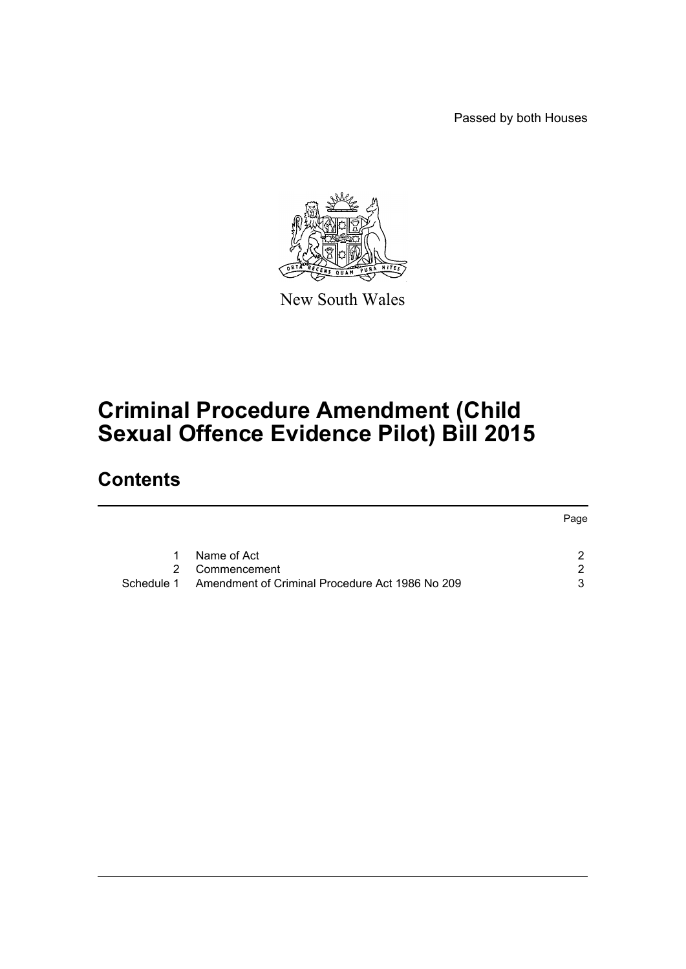Passed by both Houses



New South Wales

# **Criminal Procedure Amendment (Child Sexual Offence Evidence Pilot) Bill 2015**

## **Contents**

|   |                                                            | Page |
|---|------------------------------------------------------------|------|
|   |                                                            |      |
| 1 | Name of Act                                                |      |
|   | 2 Commencement                                             | ົາ   |
|   | Schedule 1 Amendment of Criminal Procedure Act 1986 No 209 | વ    |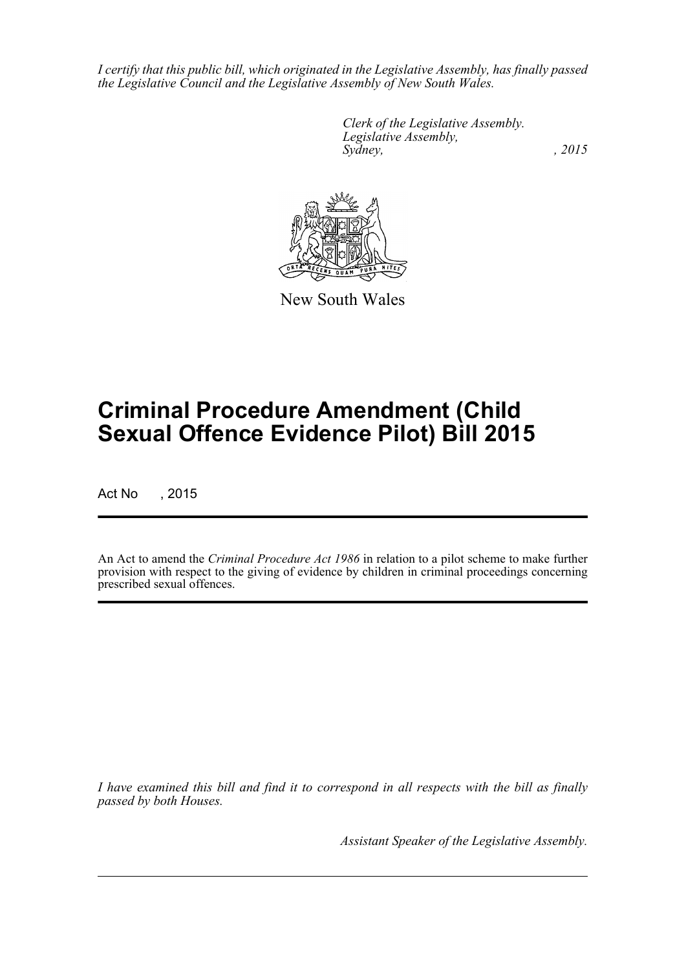*I certify that this public bill, which originated in the Legislative Assembly, has finally passed the Legislative Council and the Legislative Assembly of New South Wales.*

> *Clerk of the Legislative Assembly. Legislative Assembly, Sydney,* , 2015



New South Wales

# **Criminal Procedure Amendment (Child Sexual Offence Evidence Pilot) Bill 2015**

Act No , 2015

An Act to amend the *Criminal Procedure Act 1986* in relation to a pilot scheme to make further provision with respect to the giving of evidence by children in criminal proceedings concerning prescribed sexual offences.

*I have examined this bill and find it to correspond in all respects with the bill as finally passed by both Houses.*

*Assistant Speaker of the Legislative Assembly.*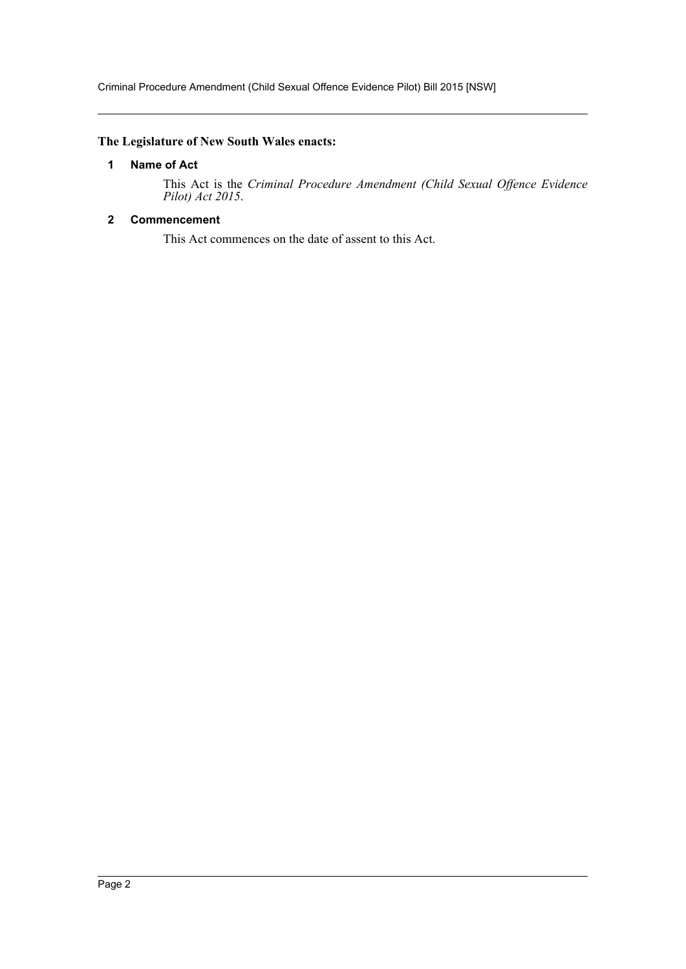Criminal Procedure Amendment (Child Sexual Offence Evidence Pilot) Bill 2015 [NSW]

## <span id="page-2-0"></span>**The Legislature of New South Wales enacts:**

## **1 Name of Act**

This Act is the *Criminal Procedure Amendment (Child Sexual Offence Evidence Pilot) Act 2015*.

## <span id="page-2-1"></span>**2 Commencement**

This Act commences on the date of assent to this Act.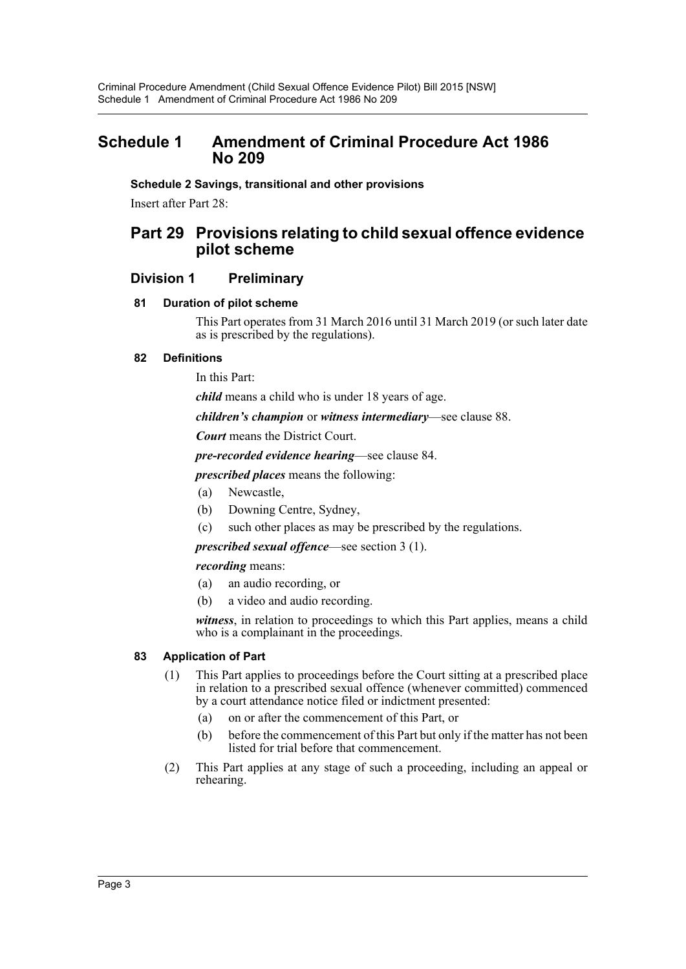## <span id="page-3-0"></span>**Schedule 1 Amendment of Criminal Procedure Act 1986 No 209**

## **Schedule 2 Savings, transitional and other provisions**

Insert after Part 28:

## **Part 29 Provisions relating to child sexual offence evidence pilot scheme**

## **Division 1 Preliminary**

## **81 Duration of pilot scheme**

This Part operates from 31 March 2016 until 31 March 2019 (or such later date as is prescribed by the regulations).

## **82 Definitions**

In this Part:

*child* means a child who is under 18 years of age.

## *children's champion* or *witness intermediary*—see clause 88.

*Court* means the District Court.

*pre-recorded evidence hearing*—see clause 84.

*prescribed places* means the following:

- (a) Newcastle,
- (b) Downing Centre, Sydney,
- (c) such other places as may be prescribed by the regulations.

*prescribed sexual offence*—see section 3 (1).

### *recording* means:

- (a) an audio recording, or
- (b) a video and audio recording.

*witness*, in relation to proceedings to which this Part applies, means a child who is a complainant in the proceedings.

### **83 Application of Part**

- (1) This Part applies to proceedings before the Court sitting at a prescribed place in relation to a prescribed sexual offence (whenever committed) commenced by a court attendance notice filed or indictment presented:
	- (a) on or after the commencement of this Part, or
	- (b) before the commencement of this Part but only if the matter has not been listed for trial before that commencement.
- (2) This Part applies at any stage of such a proceeding, including an appeal or rehearing.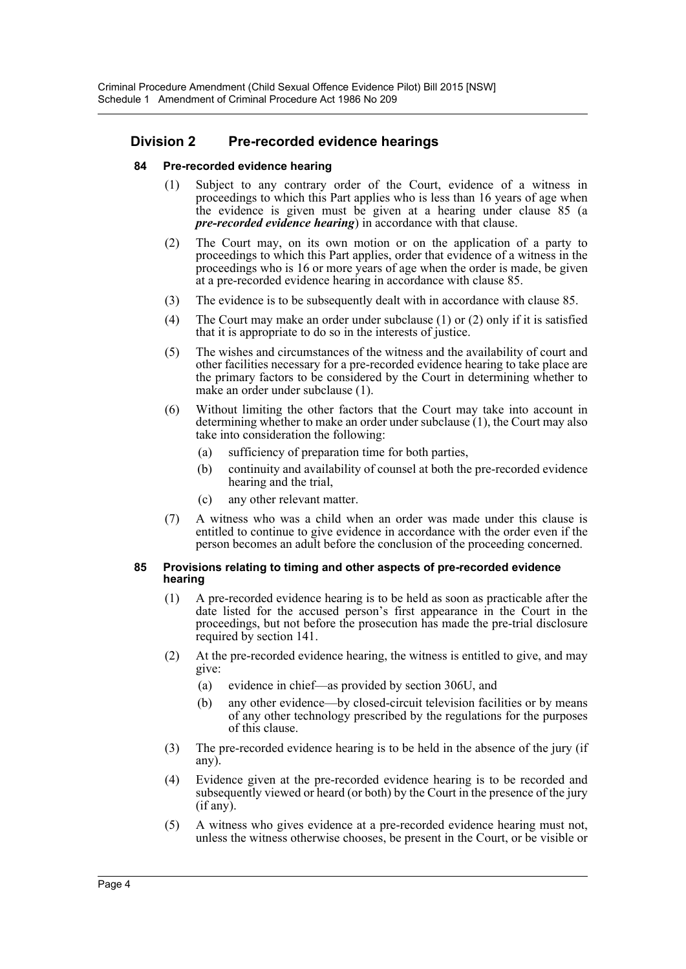## **Division 2 Pre-recorded evidence hearings**

## **84 Pre-recorded evidence hearing**

- (1) Subject to any contrary order of the Court, evidence of a witness in proceedings to which this Part applies who is less than 16 years of age when the evidence is given must be given at a hearing under clause 85 (a *pre-recorded evidence hearing*) in accordance with that clause.
- (2) The Court may, on its own motion or on the application of a party to proceedings to which this Part applies, order that evidence of a witness in the proceedings who is 16 or more years of age when the order is made, be given at a pre-recorded evidence hearing in accordance with clause 85.
- (3) The evidence is to be subsequently dealt with in accordance with clause 85.
- (4) The Court may make an order under subclause (1) or (2) only if it is satisfied that it is appropriate to do so in the interests of justice.
- (5) The wishes and circumstances of the witness and the availability of court and other facilities necessary for a pre-recorded evidence hearing to take place are the primary factors to be considered by the Court in determining whether to make an order under subclause (1).
- (6) Without limiting the other factors that the Court may take into account in determining whether to make an order under subclause (1), the Court may also take into consideration the following:
	- (a) sufficiency of preparation time for both parties,
	- (b) continuity and availability of counsel at both the pre-recorded evidence hearing and the trial,
	- (c) any other relevant matter.
- (7) A witness who was a child when an order was made under this clause is entitled to continue to give evidence in accordance with the order even if the person becomes an adult before the conclusion of the proceeding concerned.

#### **85 Provisions relating to timing and other aspects of pre-recorded evidence hearing**

- (1) A pre-recorded evidence hearing is to be held as soon as practicable after the date listed for the accused person's first appearance in the Court in the proceedings, but not before the prosecution has made the pre-trial disclosure required by section 141.
- (2) At the pre-recorded evidence hearing, the witness is entitled to give, and may give:
	- (a) evidence in chief—as provided by section 306U, and
	- (b) any other evidence—by closed-circuit television facilities or by means of any other technology prescribed by the regulations for the purposes of this clause.
- (3) The pre-recorded evidence hearing is to be held in the absence of the jury (if any).
- (4) Evidence given at the pre-recorded evidence hearing is to be recorded and subsequently viewed or heard (or both) by the Court in the presence of the jury (if any).
- (5) A witness who gives evidence at a pre-recorded evidence hearing must not, unless the witness otherwise chooses, be present in the Court, or be visible or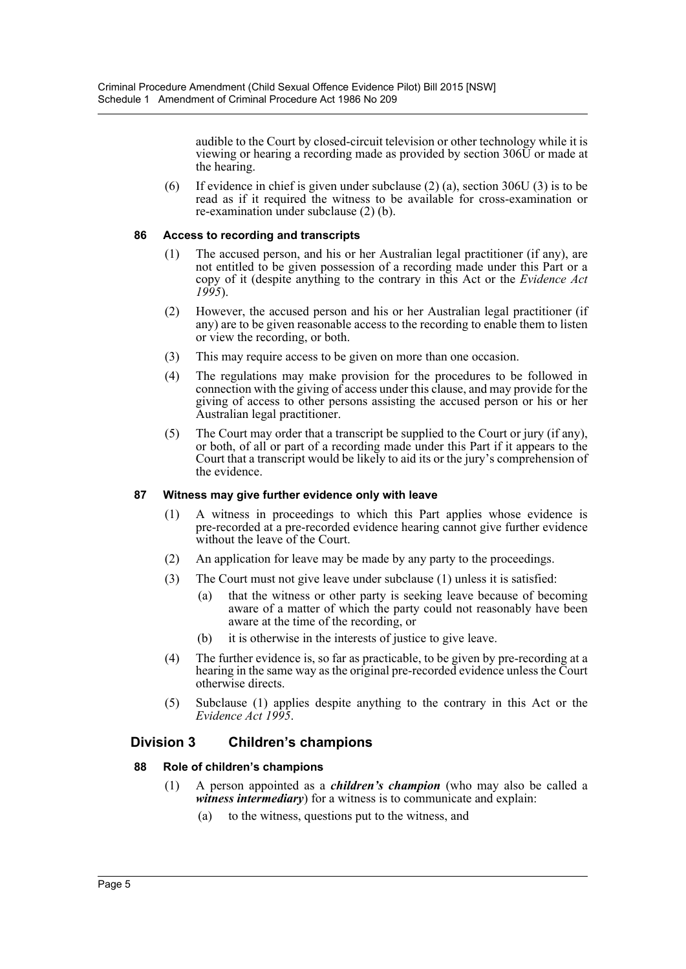audible to the Court by closed-circuit television or other technology while it is viewing or hearing a recording made as provided by section 306U or made at the hearing.

(6) If evidence in chief is given under subclause (2) (a), section 306U (3) is to be read as if it required the witness to be available for cross-examination or re-examination under subclause (2) (b).

## **86 Access to recording and transcripts**

- (1) The accused person, and his or her Australian legal practitioner (if any), are not entitled to be given possession of a recording made under this Part or a copy of it (despite anything to the contrary in this Act or the *Evidence Act 1995*).
- (2) However, the accused person and his or her Australian legal practitioner (if any) are to be given reasonable access to the recording to enable them to listen or view the recording, or both.
- (3) This may require access to be given on more than one occasion.
- (4) The regulations may make provision for the procedures to be followed in connection with the giving of access under this clause, and may provide for the giving of access to other persons assisting the accused person or his or her Australian legal practitioner.
- (5) The Court may order that a transcript be supplied to the Court or jury (if any), or both, of all or part of a recording made under this Part if it appears to the Court that a transcript would be likely to aid its or the jury's comprehension of the evidence.

## **87 Witness may give further evidence only with leave**

- (1) A witness in proceedings to which this Part applies whose evidence is pre-recorded at a pre-recorded evidence hearing cannot give further evidence without the leave of the Court.
- (2) An application for leave may be made by any party to the proceedings.
- (3) The Court must not give leave under subclause (1) unless it is satisfied:
	- (a) that the witness or other party is seeking leave because of becoming aware of a matter of which the party could not reasonably have been aware at the time of the recording, or
	- (b) it is otherwise in the interests of justice to give leave.
- (4) The further evidence is, so far as practicable, to be given by pre-recording at a hearing in the same way as the original pre-recorded evidence unless the Court otherwise directs.
- (5) Subclause (1) applies despite anything to the contrary in this Act or the *Evidence Act 1995*.

## **Division 3 Children's champions**

## **88 Role of children's champions**

- (1) A person appointed as a *children's champion* (who may also be called a *witness intermediary*) for a witness is to communicate and explain:
	- (a) to the witness, questions put to the witness, and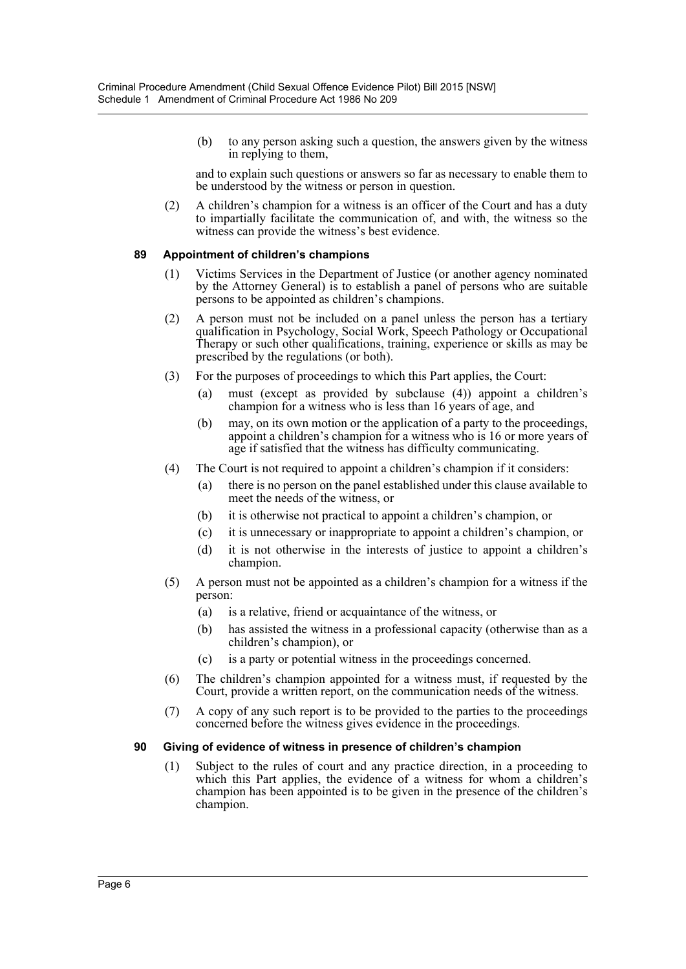(b) to any person asking such a question, the answers given by the witness in replying to them,

and to explain such questions or answers so far as necessary to enable them to be understood by the witness or person in question.

(2) A children's champion for a witness is an officer of the Court and has a duty to impartially facilitate the communication of, and with, the witness so the witness can provide the witness's best evidence.

### **89 Appointment of children's champions**

- (1) Victims Services in the Department of Justice (or another agency nominated by the Attorney General) is to establish a panel of persons who are suitable persons to be appointed as children's champions.
- (2) A person must not be included on a panel unless the person has a tertiary qualification in Psychology, Social Work, Speech Pathology or Occupational Therapy or such other qualifications, training, experience or skills as may be prescribed by the regulations (or both).
- (3) For the purposes of proceedings to which this Part applies, the Court:
	- (a) must (except as provided by subclause (4)) appoint a children's champion for a witness who is less than 16 years of age, and
	- (b) may, on its own motion or the application of a party to the proceedings, appoint a children's champion for a witness who is 16 or more years of age if satisfied that the witness has difficulty communicating.
- (4) The Court is not required to appoint a children's champion if it considers:
	- (a) there is no person on the panel established under this clause available to meet the needs of the witness, or
	- (b) it is otherwise not practical to appoint a children's champion, or
	- (c) it is unnecessary or inappropriate to appoint a children's champion, or
	- (d) it is not otherwise in the interests of justice to appoint a children's champion.
- (5) A person must not be appointed as a children's champion for a witness if the person:
	- (a) is a relative, friend or acquaintance of the witness, or
	- (b) has assisted the witness in a professional capacity (otherwise than as a children's champion), or
	- (c) is a party or potential witness in the proceedings concerned.
- (6) The children's champion appointed for a witness must, if requested by the Court, provide a written report, on the communication needs of the witness.
- (7) A copy of any such report is to be provided to the parties to the proceedings concerned before the witness gives evidence in the proceedings.

### **90 Giving of evidence of witness in presence of children's champion**

(1) Subject to the rules of court and any practice direction, in a proceeding to which this Part applies, the evidence of a witness for whom a children's champion has been appointed is to be given in the presence of the children's champion.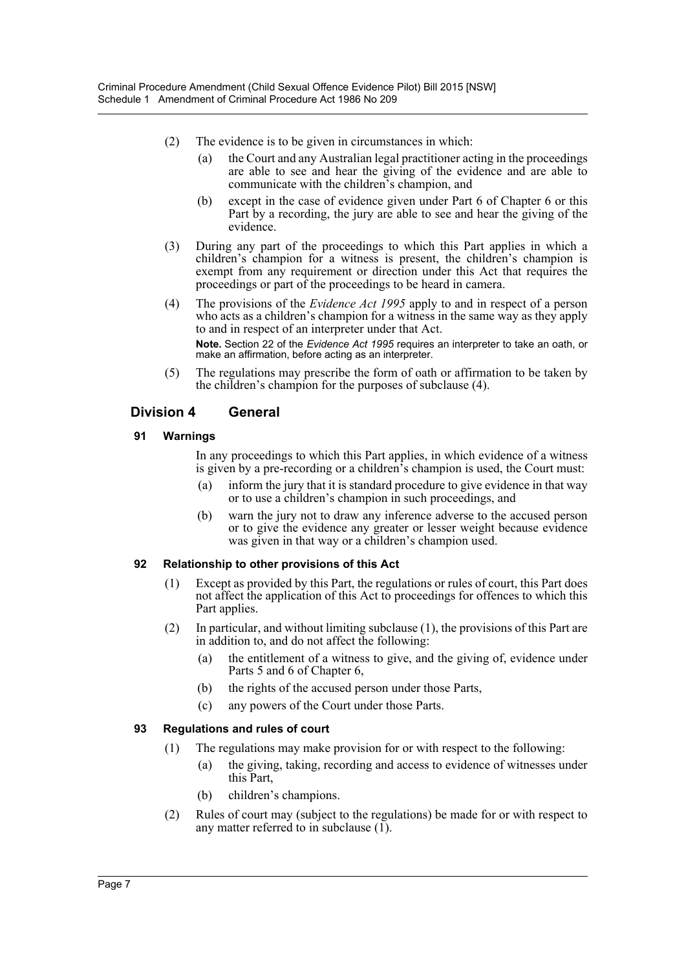- (2) The evidence is to be given in circumstances in which:
	- (a) the Court and any Australian legal practitioner acting in the proceedings are able to see and hear the giving of the evidence and are able to communicate with the children's champion, and
	- (b) except in the case of evidence given under Part 6 of Chapter 6 or this Part by a recording, the jury are able to see and hear the giving of the evidence.
- (3) During any part of the proceedings to which this Part applies in which a children's champion for a witness is present, the children's champion is exempt from any requirement or direction under this Act that requires the proceedings or part of the proceedings to be heard in camera.
- (4) The provisions of the *Evidence Act 1995* apply to and in respect of a person who acts as a children's champion for a witness in the same way as they apply to and in respect of an interpreter under that Act. **Note.** Section 22 of the *Evidence Act 1995* requires an interpreter to take an oath, or make an affirmation, before acting as an interpreter.
- (5) The regulations may prescribe the form of oath or affirmation to be taken by the children's champion for the purposes of subclause (4).

## **Division 4 General**

## **91 Warnings**

In any proceedings to which this Part applies, in which evidence of a witness is given by a pre-recording or a children's champion is used, the Court must:

- (a) inform the jury that it is standard procedure to give evidence in that way or to use a children's champion in such proceedings, and
- (b) warn the jury not to draw any inference adverse to the accused person or to give the evidence any greater or lesser weight because evidence was given in that way or a children's champion used.

### **92 Relationship to other provisions of this Act**

- (1) Except as provided by this Part, the regulations or rules of court, this Part does not affect the application of this Act to proceedings for offences to which this Part applies.
- (2) In particular, and without limiting subclause (1), the provisions of this Part are in addition to, and do not affect the following:
	- (a) the entitlement of a witness to give, and the giving of, evidence under Parts 5 and 6 of Chapter 6,
	- (b) the rights of the accused person under those Parts,
	- (c) any powers of the Court under those Parts.

### **93 Regulations and rules of court**

- (1) The regulations may make provision for or with respect to the following:
	- (a) the giving, taking, recording and access to evidence of witnesses under this Part,
	- (b) children's champions.
- (2) Rules of court may (subject to the regulations) be made for or with respect to any matter referred to in subclause  $(1)$ .